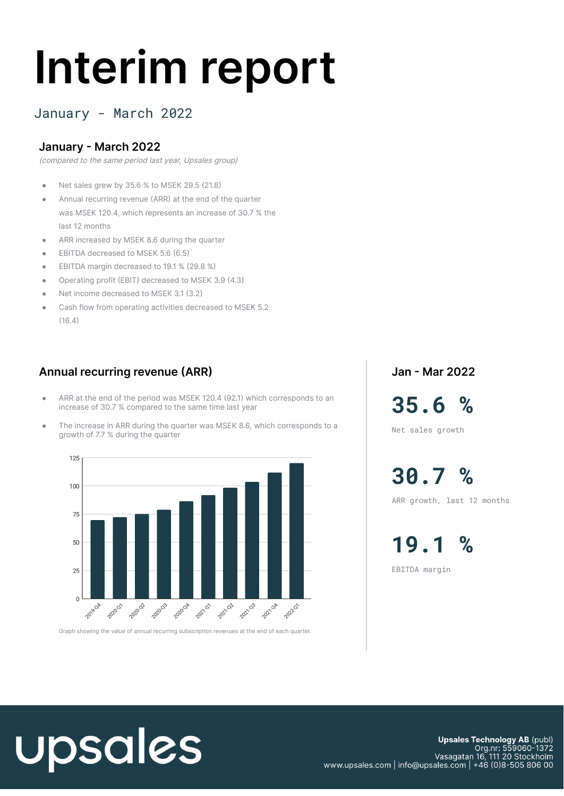# **Interim report**

#### January - March 2022

#### **January - March 2022**

(compared to the same period last year, Upsales group)

- Net sales grew by 35.6 % to MSEK 29.5 (21.8)
- Annual recurring revenue (ARR) at the end of the quarter was MSEK 120.4, which represents an increase of 30.7 % the last 12 months
- ARR increased by MSEK 8.6 during the quarter
- EBITDA decreased to MSEK 5.6 (6.5)
- EBITDA margin decreased to 19.1 % (29.8 %)
- Operating profit (EBIT) decreased to MSEK 3.9 (4.3)
- Net income decreased to MSEK 3.1 (3.2)
- Cash flow from operating activities decreased to MSEK 5.2  $(16.4)$

#### **Annual recurring revenue (ARR)**

- ARR at the end of the period was MSEK 120.4 (92.1) which corresponds to an increase of 30.7 % compared to the same time last year
- The increase in ARR during the quarter was MSEK 8.6, which corresponds to a growth of 7.7 % during the quarter



Graph showing the value of annual recurring subscription revenues at the end of each quarter.

**Jan - Mar 2022**

**35.6 %** Net sales growth

**30.7 %**

ARR growth, last 12 months

**19.1 %** EBITDA margin

# upsales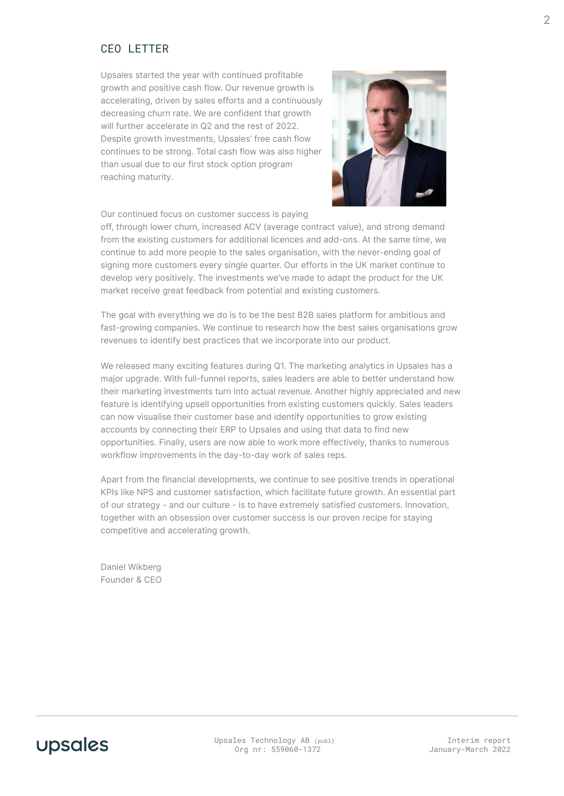#### CEO LETTER

Upsales started the year with continued profitable growth and positive cash flow. Our revenue growth is accelerating, driven by sales efforts and a continuously decreasing churn rate. We are confident that growth will further accelerate in Q2 and the rest of 2022. Despite growth investments, Upsales' free cash flow continues to be strong. Total cash flow was also higher than usual due to our first stock option program reaching maturity.



Our continued focus on customer success is paying

off, through lower churn, increased ACV (average contract value), and strong demand from the existing customers for additional licences and add-ons. At the same time, we continue to add more people to the sales organisation, with the never-ending goal of signing more customers every single quarter. Our efforts in the UK market continue to develop very positively. The investments we've made to adapt the product for the UK market receive great feedback from potential and existing customers.

The goal with everything we do is to be the best B2B sales platform for ambitious and fast-growing companies. We continue to research how the best sales organisations grow revenues to identify best practices that we incorporate into our product.

We released many exciting features during Q1. The marketing analytics in Upsales has a major upgrade. With full-funnel reports, sales leaders are able to better understand how their marketing investments turn into actual revenue. Another highly appreciated and new feature is identifying upsell opportunities from existing customers quickly. Sales leaders can now visualise their customer base and identify opportunities to grow existing accounts by connecting their ERP to Upsales and using that data to find new opportunities. Finally, users are now able to work more effectively, thanks to numerous workflow improvements in the day-to-day work of sales reps.

Apart from the financial developments, we continue to see positive trends in operational KPIs like NPS and customer satisfaction, which facilitate future growth. An essential part of our strategy - and our culture - is to have extremely satisfied customers. Innovation, together with an obsession over customer success is our proven recipe for staying competitive and accelerating growth.

Daniel Wikberg Founder & CEO



Upsales Technology AB (publ) Org nr: 559060-1372

Interim report January-March 2022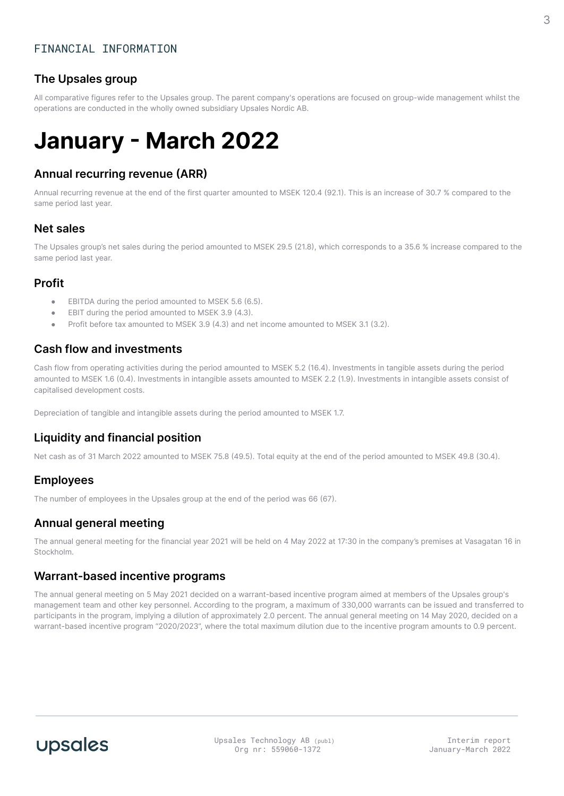#### **The Upsales group**

All comparative figures refer to the Upsales group. The parent company's operations are focused on group-wide management whilst the operations are conducted in the wholly owned subsidiary Upsales Nordic AB.

# **January - March 2022**

#### **Annual recurring revenue (ARR)**

Annual recurring revenue at the end of the first quarter amounted to MSEK 120.4 (92.1). This is an increase of 30.7 % compared to the same period last year.

#### **Net sales**

The Upsales group's net sales during the period amounted to MSEK 29.5 (21.8), which corresponds to a 35.6 % increase compared to the same period last year.

#### **Profit**

- EBITDA during the period amounted to MSEK 5.6 (6.5).
- EBIT during the period amounted to MSEK 3.9 (4.3).
- Profit before tax amounted to MSEK 3.9 (4.3) and net income amounted to MSEK 3.1 (3.2).

#### **Cash flow and investments**

Cash flow from operating activities during the period amounted to MSEK 5.2 (16.4). Investments in tangible assets during the period amounted to MSEK 1.6 (0.4). Investments in intangible assets amounted to MSEK 2.2 (1.9). Investments in intangible assets consist of capitalised development costs.

Depreciation of tangible and intangible assets during the period amounted to MSEK 1.7.

#### **Liquidity and financial position**

Net cash as of 31 March 2022 amounted to MSEK 75.8 (49.5). Total equity at the end of the period amounted to MSEK 49.8 (30.4).

#### **Employees**

The number of employees in the Upsales group at the end of the period was 66 (67).

#### **Annual general meeting**

The annual general meeting for the financial year 2021 will be held on 4 May 2022 at 17:30 in the company's premises at Vasagatan 16 in Stockholm.

#### **Warrant-based incentive programs**

The annual general meeting on 5 May 2021 decided on a warrant-based incentive program aimed at members of the Upsales group's management team and other key personnel. According to the program, a maximum of 330,000 warrants can be issued and transferred to participants in the program, implying a dilution of approximately 2.0 percent. The annual general meeting on 14 May 2020, decided on a warrant-based incentive program "2020/2023", where the total maximum dilution due to the incentive program amounts to 0.9 percent.

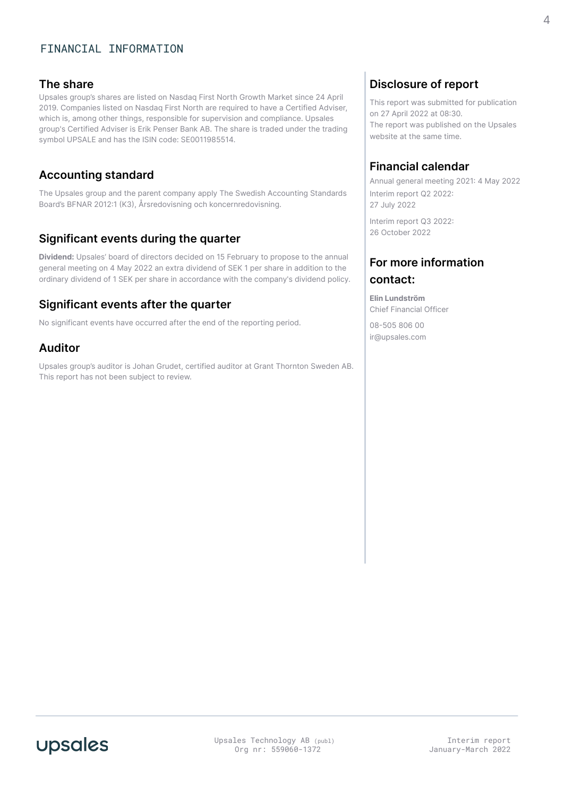#### FINANCIAL INFORMATION

#### **The share**

Upsales group's shares are listed on Nasdaq First North Growth Market since 24 April 2019. Companies listed on Nasdaq First North are required to have a Certified Adviser, which is, among other things, responsible for supervision and compliance. Upsales group's Certified Adviser is Erik Penser Bank AB. The share is traded under the trading symbol UPSALE and has the ISIN code: SE0011985514.

#### **Accounting standard**

The Upsales group and the parent company apply The Swedish Accounting Standards Board's BFNAR 2012:1 (K3), Årsredovisning och koncernredovisning.

#### **Significant events during the quarter**

**Dividend:** Upsales' board of directors decided on 15 February to propose to the annual general meeting on 4 May 2022 an extra dividend of SEK 1 per share in addition to the ordinary dividend of 1 SEK per share in accordance with the company's dividend policy.

#### **Significant events after the quarter**

No significant events have occurred after the end of the reporting period.

#### **Auditor**

Upsales group's auditor is Johan Grudet, certified auditor at Grant Thornton Sweden AB. This report has not been subject to review.

#### **Disclosure of report**

This report was submitted for publication on 27 April 2022 at 08:30. The report was published on the Upsales website at the same time.

#### **Financial calendar**

Annual general meeting 2021: 4 May 2022 Interim report Q2 2022: 27 July 2022

Interim report Q3 2022: 26 October 2022

#### **For more information contact:**

**Elin Lundström** Chief Financial Officer

08-505 806 00 ir@upsales.com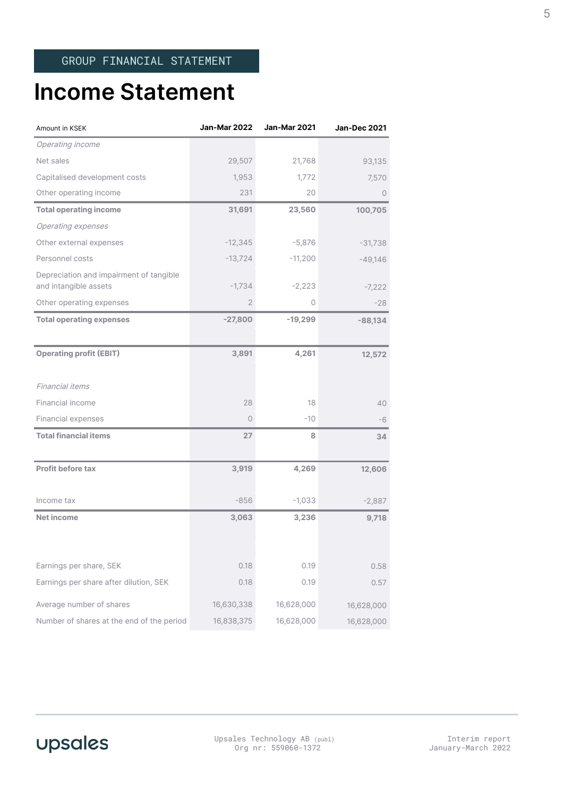### **Income Statement**

| Amount in KSEK                                                   | <b>Jan-Mar 2022</b> | Jan-Mar 2021 | <b>Jan-Dec 2021</b> |
|------------------------------------------------------------------|---------------------|--------------|---------------------|
| Operating income                                                 |                     |              |                     |
| Net sales                                                        | 29,507              | 21,768       | 93,135              |
| Capitalised development costs                                    | 1,953               | 1,772        | 7,570               |
| Other operating income                                           | 231                 | 20           | $\circ$             |
| <b>Total operating income</b>                                    | 31,691              | 23,560       | 100,705             |
| <b>Operating expenses</b>                                        |                     |              |                     |
| Other external expenses                                          | $-12,345$           | $-5,876$     | $-31,738$           |
| Personnel costs                                                  | $-13,724$           | $-11,200$    | $-49,146$           |
| Depreciation and impairment of tangible<br>and intangible assets | $-1,734$            | $-2,223$     | $-7,222$            |
| Other operating expenses                                         | $\mathbf{2}$        | 0            | $-28$               |
| <b>Total operating expenses</b>                                  | $-27,800$           | $-19,299$    | $-88,134$           |
|                                                                  |                     |              |                     |
| <b>Operating profit (EBIT)</b>                                   | 3,891               | 4,261        | 12,572              |
|                                                                  |                     |              |                     |
| <b>Financial items</b>                                           |                     |              |                     |
| Financial income                                                 | 28                  | 18           | 40                  |
| Financial expenses                                               | 0                   | -10          | -6                  |
| <b>Total financial items</b>                                     | 27                  | 8            | 34                  |
|                                                                  |                     |              |                     |
| <b>Profit before tax</b>                                         | 3,919               | 4,269        | 12,606              |
|                                                                  |                     |              |                     |
| Income tax                                                       | $-856$              | $-1,033$     | $-2,887$            |
| <b>Net income</b>                                                | 3,063               | 3,236        | 9,718               |
|                                                                  |                     |              |                     |
|                                                                  |                     |              |                     |
| Earnings per share, SEK                                          | 0.18                | 0.19         | 0.58                |
| Earnings per share after dilution, SEK                           | 0.18                | 0.19         | 0.57                |
| Average number of shares                                         | 16,630,338          | 16,628,000   | 16,628,000          |
| Number of shares at the end of the period                        | 16,838,375          | 16,628,000   | 16,628,000          |



Interim report January-March 2022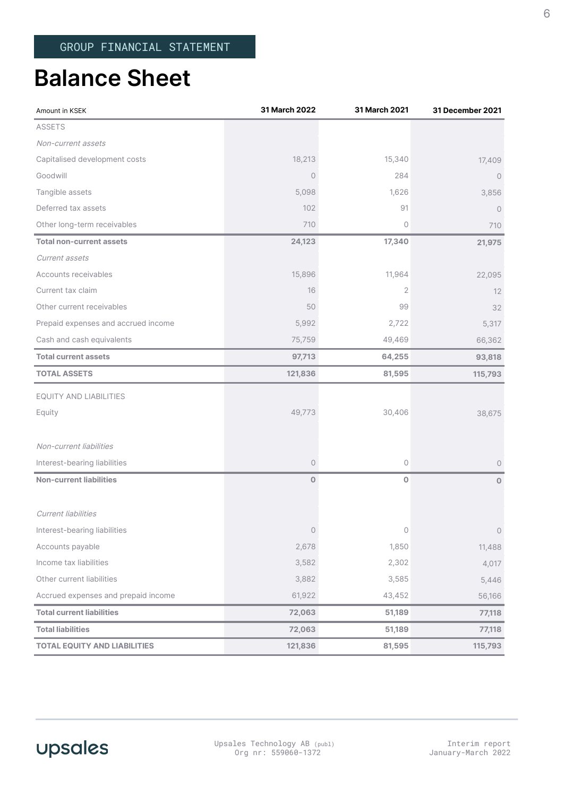### **Balance Sheet**

| Amount in KSEK                      | 31 March 2022       | 31 March 2021 | 31 December 2021 |
|-------------------------------------|---------------------|---------------|------------------|
| <b>ASSETS</b>                       |                     |               |                  |
| Non-current assets                  |                     |               |                  |
| Capitalised development costs       | 18,213              | 15,340        | 17,409           |
| Goodwill                            | $\circ$             | 284           | $\circ$          |
| Tangible assets                     | 5,098               | 1,626         | 3,856            |
| Deferred tax assets                 | 102                 | 91            | $\circ$          |
| Other long-term receivables         | 710                 | 0             | 710              |
| <b>Total non-current assets</b>     | 24,123              | 17,340        | 21,975           |
| Current assets                      |                     |               |                  |
| Accounts receivables                | 15,896              | 11,964        | 22,095           |
| Current tax claim                   | 16                  | 2             | 12               |
| Other current receivables           | 50                  | 99            | 32               |
| Prepaid expenses and accrued income | 5,992               | 2,722         | 5,317            |
| Cash and cash equivalents           | 75,759              | 49,469        | 66,362           |
| <b>Total current assets</b>         | 97,713              | 64,255        | 93,818           |
| <b>TOTAL ASSETS</b>                 | 121,836             | 81,595        | 115,793          |
| EQUITY AND LIABILITIES              |                     |               |                  |
| Equity                              | 49,773              | 30,406        | 38,675           |
| Non-current liabilities             |                     |               |                  |
| Interest-bearing liabilities        | $\circlearrowright$ | 0             | $\circ$          |
| <b>Non-current liabilities</b>      | $\mathbf 0$         | $\mathbf 0$   | $\overline{O}$   |
| <b>Current liabilities</b>          |                     |               |                  |
| Interest-bearing liabilities        | $\circ$             | 0             | $\circ$          |
| Accounts payable                    | 2,678               | 1,850         | 11,488           |
| Income tax liabilities              | 3,582               | 2,302         | 4,017            |
| Other current liabilities           | 3,882               | 3,585         | 5,446            |
| Accrued expenses and prepaid income | 61,922              | 43,452        | 56,166           |
| <b>Total current liabilities</b>    | 72,063              | 51,189        | 77,118           |
| <b>Total liabilities</b>            | 72,063              | 51,189        | 77,118           |
| <b>TOTAL EQUITY AND LIABILITIES</b> | 121,836             | 81,595        | 115,793          |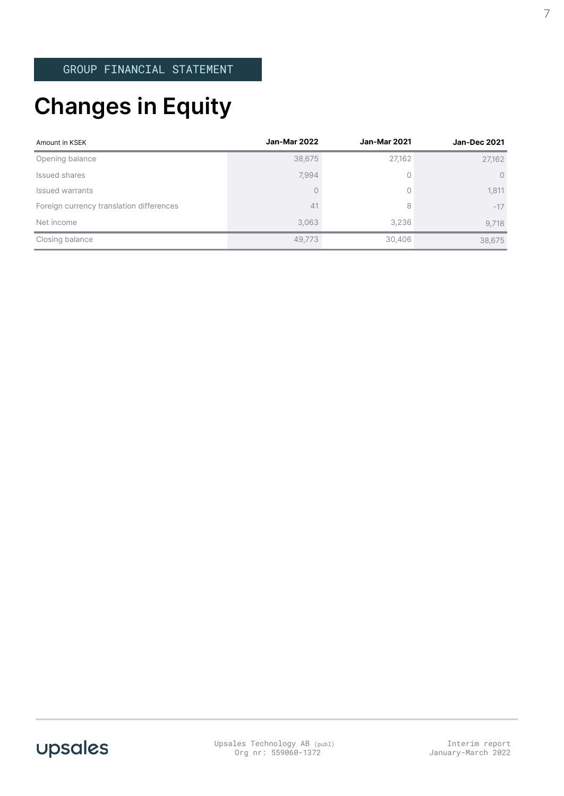# **Changes in Equity**

| Amount in KSEK                           | Jan-Mar 2022 | <b>Jan-Mar 2021</b> | <b>Jan-Dec 2021</b> |
|------------------------------------------|--------------|---------------------|---------------------|
| Opening balance                          | 38,675       | 27,162              | 27,162              |
| Issued shares                            | 7,994        | $\circ$             | $\circ$             |
| Issued warrants                          | 0            | $\bigcap$           | 1,811               |
| Foreign currency translation differences | 41           | 8                   | $-17$               |
| Net income                               | 3,063        | 3,236               | 9,718               |
| Closing balance                          | 49,773       | 30,406              | 38,675              |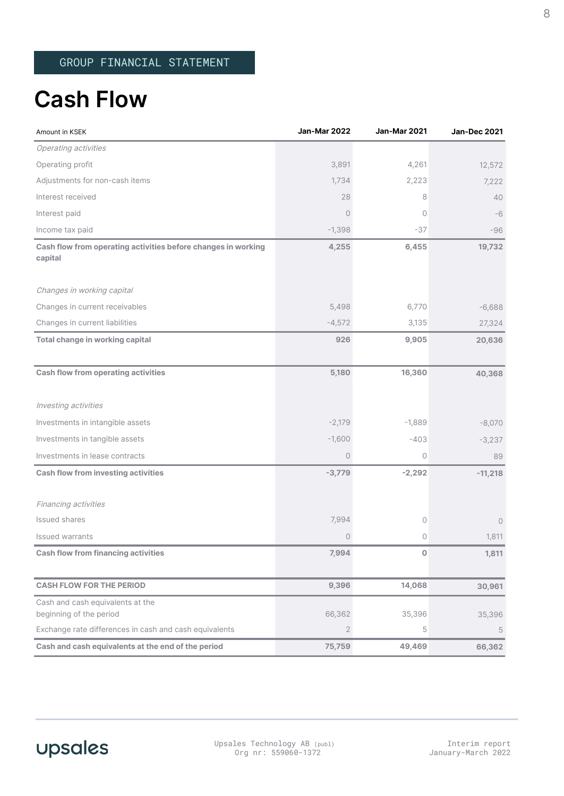## **Cash Flow**

| Amount in KSEK                                                           | Jan-Mar 2022 | Jan-Mar 2021   | <b>Jan-Dec 2021</b> |
|--------------------------------------------------------------------------|--------------|----------------|---------------------|
| Operating activities                                                     |              |                |                     |
| Operating profit                                                         | 3,891        | 4,261          | 12,572              |
| Adjustments for non-cash items                                           | 1,734        | 2,223          | 7,222               |
| Interest received                                                        | 28           | 8              | 40                  |
| Interest paid                                                            | $\circ$      | $\circ$        | -6                  |
| Income tax paid                                                          | $-1,398$     | -37            | -96                 |
| Cash flow from operating activities before changes in working<br>capital | 4,255        | 6,455          | 19,732              |
| Changes in working capital                                               |              |                |                     |
| Changes in current receivables                                           | 5,498        | 6,770          | $-6,688$            |
| Changes in current liabilities                                           | $-4,572$     | 3,135          | 27,324              |
| Total change in working capital                                          | 926          | 9,905          | 20,636              |
| <b>Cash flow from operating activities</b>                               | 5,180        | 16,360         | 40,368              |
| Investing activities                                                     |              |                |                     |
| Investments in intangible assets                                         | $-2,179$     | $-1,889$       | $-8,070$            |
| Investments in tangible assets                                           | $-1,600$     | $-403$         | $-3,237$            |
| Investments in lease contracts                                           | 0            | $\circledcirc$ | 89                  |
| <b>Cash flow from investing activities</b>                               | $-3,779$     | $-2,292$       | $-11,218$           |
| Financing activities                                                     |              |                |                     |
| Issued shares                                                            | 7,994        | 0              | $\circ$             |
| <b>Issued warrants</b>                                                   | 0            | 0              | 1,811               |
| <b>Cash flow from financing activities</b>                               | 7,994        | 0              | 1,811               |
| <b>CASH FLOW FOR THE PERIOD</b>                                          | 9,396        | 14,068         | 30,961              |
| Cash and cash equivalents at the<br>beginning of the period              | 66,362       | 35,396         | 35,396              |
| Exchange rate differences in cash and cash equivalents                   | $\mathbf{2}$ | 5              | 5                   |
| Cash and cash equivalents at the end of the period                       | 75,759       | 49,469         | 66,362              |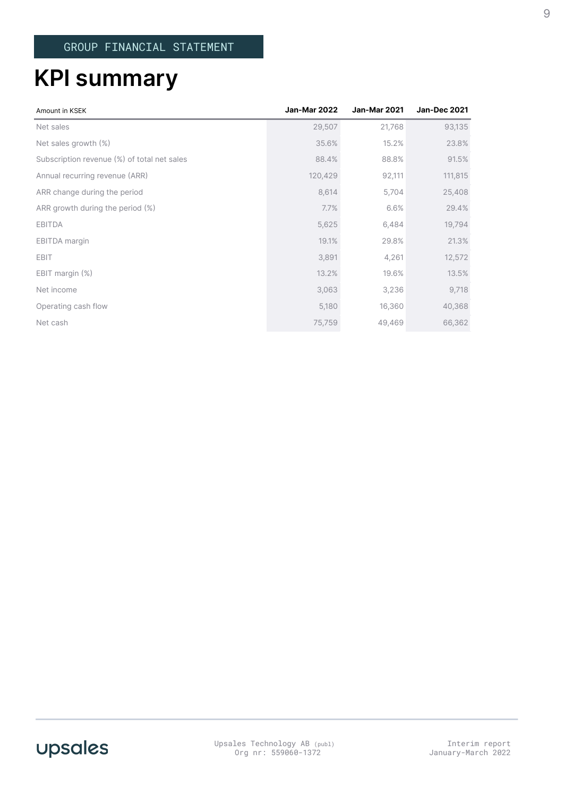# **KPI summary**

| Amount in KSEK                              | <b>Jan-Mar 2022</b> | <b>Jan-Mar 2021</b> | <b>Jan-Dec 2021</b> |
|---------------------------------------------|---------------------|---------------------|---------------------|
| Net sales                                   | 29,507              | 21,768              | 93,135              |
| Net sales growth $(\%)$                     | 35.6%               | 15.2%               | 23.8%               |
| Subscription revenue (%) of total net sales | 88.4%               | 88.8%               | 91.5%               |
| Annual recurring revenue (ARR)              | 120,429             | 92,111              | 111,815             |
| ARR change during the period                | 8,614               | 5,704               | 25,408              |
| ARR growth during the period (%)            | 7.7%                | 6.6%                | 29.4%               |
| <b>EBITDA</b>                               | 5,625               | 6,484               | 19,794              |
| EBITDA margin                               | 19.1%               | 29.8%               | 21.3%               |
| <b>EBIT</b>                                 | 3,891               | 4,261               | 12,572              |
| EBIT margin (%)                             | 13.2%               | 19.6%               | 13.5%               |
| Net income                                  | 3,063               | 3,236               | 9,718               |
| Operating cash flow                         | 5,180               | 16,360              | 40,368              |
| Net cash                                    | 75,759              | 49,469              | 66,362              |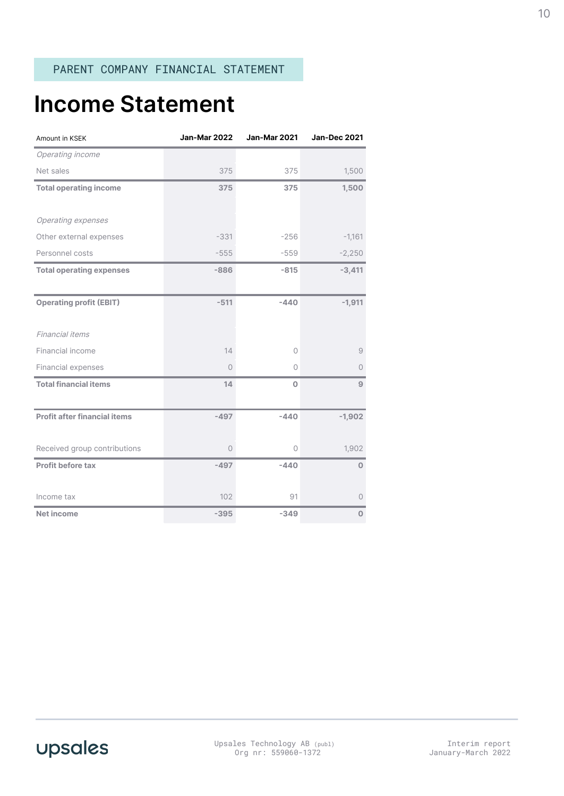## **Income Statement**

| Amount in KSEK                      | <b>Jan-Mar 2022</b> | <b>Jan-Mar 2021</b> | <b>Jan-Dec 2021</b> |
|-------------------------------------|---------------------|---------------------|---------------------|
| Operating income                    |                     |                     |                     |
| Net sales                           | 375                 | 375                 | 1,500               |
| <b>Total operating income</b>       | 375                 | 375                 | 1,500               |
|                                     |                     |                     |                     |
| Operating expenses                  |                     |                     |                     |
| Other external expenses             | $-331$              | $-256$              | $-1,161$            |
| Personnel costs                     | $-555$              | $-559$              | $-2,250$            |
| <b>Total operating expenses</b>     | $-886$              | $-815$              | $-3,411$            |
|                                     |                     |                     |                     |
| <b>Operating profit (EBIT)</b>      | $-511$              | $-440$              | $-1,911$            |
|                                     |                     |                     |                     |
| Financial items                     |                     |                     |                     |
| Financial income                    | 14                  | 0                   | 9                   |
| Financial expenses                  | $\circ$             | 0                   | 0                   |
| <b>Total financial items</b>        | 14                  | $\mathbf 0$         | $\overline{9}$      |
|                                     |                     |                     |                     |
| <b>Profit after financial items</b> | $-497$              | $-440$              | $-1,902$            |
|                                     |                     |                     |                     |
| Received group contributions        | $\circ$             | $\circ$             | 1,902               |
| Profit before tax                   | $-497$              | $-440$              | $\overline{0}$      |
|                                     |                     |                     |                     |
| Income tax                          | 102                 | 91                  | $\circ$             |
| <b>Net income</b>                   | $-395$              | $-349$              | $\Omega$            |

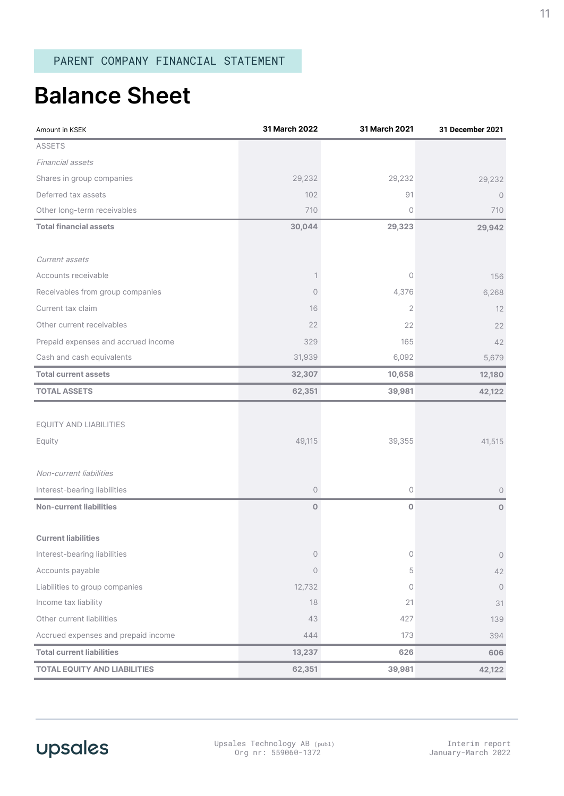# **Balance Sheet**

| Amount in KSEK                      | 31 March 2022       | 31 March 2021  | 31 December 2021 |
|-------------------------------------|---------------------|----------------|------------------|
| <b>ASSETS</b>                       |                     |                |                  |
| Financial assets                    |                     |                |                  |
| Shares in group companies           | 29,232              | 29,232         | 29,232           |
| Deferred tax assets                 | 102                 | 91             | $\circ$          |
| Other long-term receivables         | 710                 | $\circ$        | 710              |
| <b>Total financial assets</b>       | 30,044              | 29,323         | 29,942           |
|                                     |                     |                |                  |
| Current assets                      |                     |                |                  |
| Accounts receivable                 | $\mathbf{1}$        | $\circ$        | 156              |
| Receivables from group companies    | 0                   | 4,376          | 6,268            |
| Current tax claim                   | 16                  | $\overline{2}$ | 12               |
| Other current receivables           | 22                  | 22             | 22               |
| Prepaid expenses and accrued income | 329                 | 165            | 42               |
| Cash and cash equivalents           | 31,939              | 6,092          | 5,679            |
| <b>Total current assets</b>         | 32,307              | 10,658         | 12,180           |
| <b>TOTAL ASSETS</b>                 | 62,351              | 39,981         | 42,122           |
|                                     |                     |                |                  |
| EQUITY AND LIABILITIES              |                     |                |                  |
| Equity                              | 49,115              | 39,355         | 41,515           |
|                                     |                     |                |                  |
| Non-current liabilities             |                     |                |                  |
| Interest-bearing liabilities        | $\mathsf{O}\xspace$ | $\circ$        | $\circ$          |
| <b>Non-current liabilities</b>      | $\mathbf 0$         | $\mathbf 0$    | $\circ$          |
|                                     |                     |                |                  |
| <b>Current liabilities</b>          |                     |                |                  |
| Interest-bearing liabilities        | $\mathsf{O}\xspace$ | $\circ$        | $\bigcirc$       |
| Accounts payable                    | $\mathsf{O}\xspace$ | 5              | 42               |
| Liabilities to group companies      | 12,732              | $\circ$        | $\circ$          |
| Income tax liability                | 18                  | 21             | 31               |
| Other current liabilities           | 43                  | 427            | 139              |
| Accrued expenses and prepaid income | 444                 | 173            | 394              |
| <b>Total current liabilities</b>    | 13,237              | 626            | 606              |
| <b>TOTAL EQUITY AND LIABILITIES</b> | 62,351              | 39,981         | 42,122           |

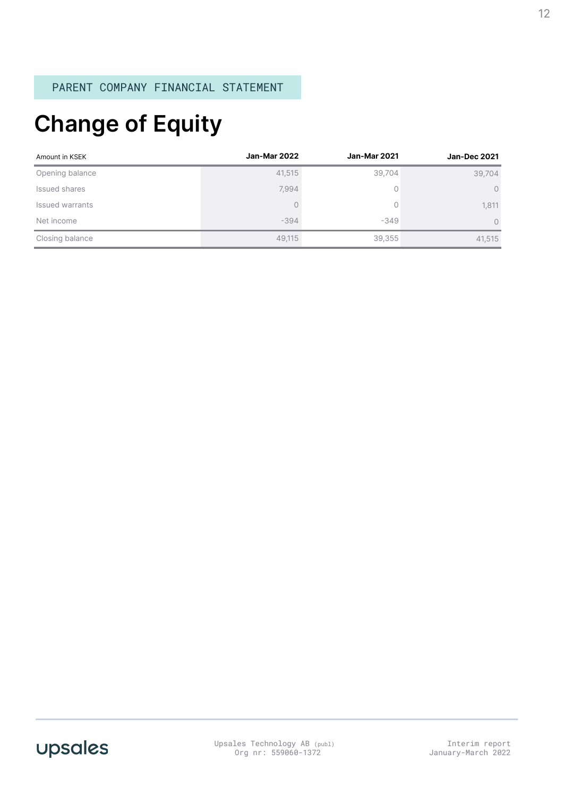# **Change of Equity**

| Amount in KSEK  | Jan-Mar 2022 | <b>Jan-Mar 2021</b> | <b>Jan-Dec 2021</b> |
|-----------------|--------------|---------------------|---------------------|
| Opening balance | 41,515       | 39,704              | 39,704              |
| Issued shares   | 7,994        | 0                   | $\circ$             |
| Issued warrants | 0            | 0                   | 1,811               |
| Net income      | $-394$       | $-349$              | $\Omega$            |
| Closing balance | 49,115       | 39,355              | 41,515              |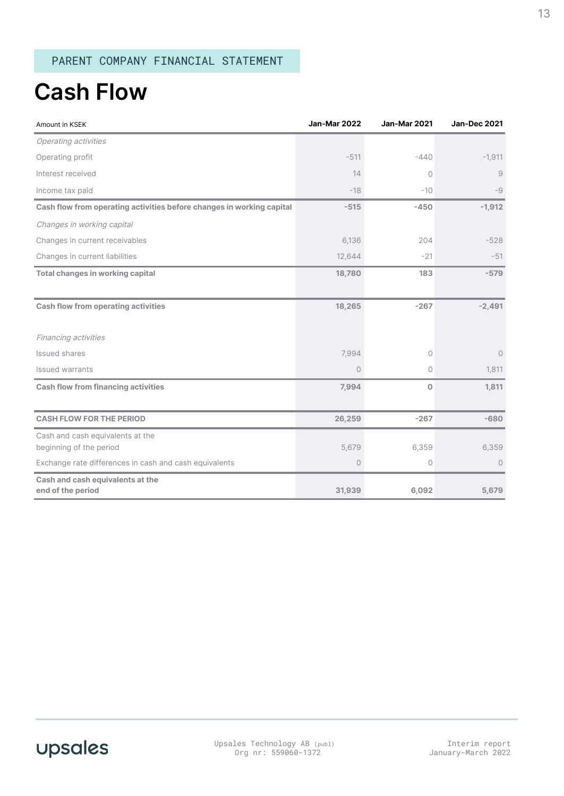### **Cash Flow**

| Amount in KSEK                                                        | <b>Jan-Mar 2022</b> | Jan-Mar 2021 | <b>Jan-Dec 2021</b> |
|-----------------------------------------------------------------------|---------------------|--------------|---------------------|
| Operating activities                                                  |                     |              |                     |
| Operating profit                                                      | $-511$              | $-440$       | $-1,911$            |
| Interest received                                                     | 14                  | $\circ$      | 9                   |
| Income tax paid                                                       | $-18$               | $-10$        | -9                  |
| Cash flow from operating activities before changes in working capital | $-515$              | $-450$       | $-1,912$            |
| Changes in working capital                                            |                     |              |                     |
| Changes in current receivables                                        | 6,136               | 204          | $-528$              |
| Changes in current liabilities                                        | 12,644              | $-21$        | $-51$               |
| <b>Total changes in working capital</b>                               | 18,780              | 183          | $-579$              |
|                                                                       |                     |              |                     |
| <b>Cash flow from operating activities</b>                            | 18,265              | $-267$       | $-2,491$            |
|                                                                       |                     |              |                     |
| Financing activities                                                  |                     |              |                     |
| Issued shares                                                         | 7,994               | $\circ$      | $\circ$             |
| Issued warrants                                                       | $\circ$             | $\circ$      | 1,811               |
| <b>Cash flow from financing activities</b>                            | 7,994               | $\circ$      | 1,811               |
|                                                                       |                     |              |                     |
| <b>CASH FLOW FOR THE PERIOD</b>                                       | 26,259              | $-267$       | $-680$              |
| Cash and cash equivalents at the                                      |                     |              |                     |
| beginning of the period                                               | 5,679               | 6,359        | 6,359               |
| Exchange rate differences in cash and cash equivalents                | 0                   | $\circ$      | $\circ$             |
| Cash and cash equivalents at the<br>end of the period                 | 31,939              | 6,092        | 5,679               |
|                                                                       |                     |              |                     |